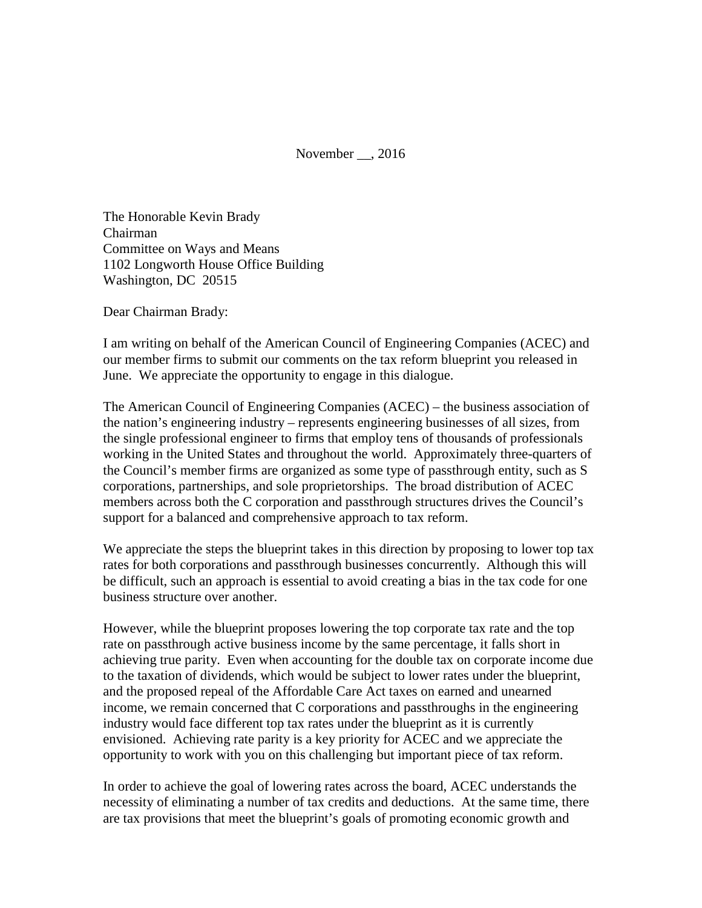November , 2016

The Honorable Kevin Brady Chairman Committee on Ways and Means 1102 Longworth House Office Building Washington, DC 20515

Dear Chairman Brady:

I am writing on behalf of the American Council of Engineering Companies (ACEC) and our member firms to submit our comments on the tax reform blueprint you released in June. We appreciate the opportunity to engage in this dialogue.

The American Council of Engineering Companies (ACEC) – the business association of the nation's engineering industry – represents engineering businesses of all sizes, from the single professional engineer to firms that employ tens of thousands of professionals working in the United States and throughout the world. Approximately three-quarters of the Council's member firms are organized as some type of passthrough entity, such as S corporations, partnerships, and sole proprietorships. The broad distribution of ACEC members across both the C corporation and passthrough structures drives the Council's support for a balanced and comprehensive approach to tax reform.

We appreciate the steps the blueprint takes in this direction by proposing to lower top tax rates for both corporations and passthrough businesses concurrently. Although this will be difficult, such an approach is essential to avoid creating a bias in the tax code for one business structure over another.

However, while the blueprint proposes lowering the top corporate tax rate and the top rate on passthrough active business income by the same percentage, it falls short in achieving true parity. Even when accounting for the double tax on corporate income due to the taxation of dividends, which would be subject to lower rates under the blueprint, and the proposed repeal of the Affordable Care Act taxes on earned and unearned income, we remain concerned that C corporations and passthroughs in the engineering industry would face different top tax rates under the blueprint as it is currently envisioned. Achieving rate parity is a key priority for ACEC and we appreciate the opportunity to work with you on this challenging but important piece of tax reform.

In order to achieve the goal of lowering rates across the board, ACEC understands the necessity of eliminating a number of tax credits and deductions. At the same time, there are tax provisions that meet the blueprint's goals of promoting economic growth and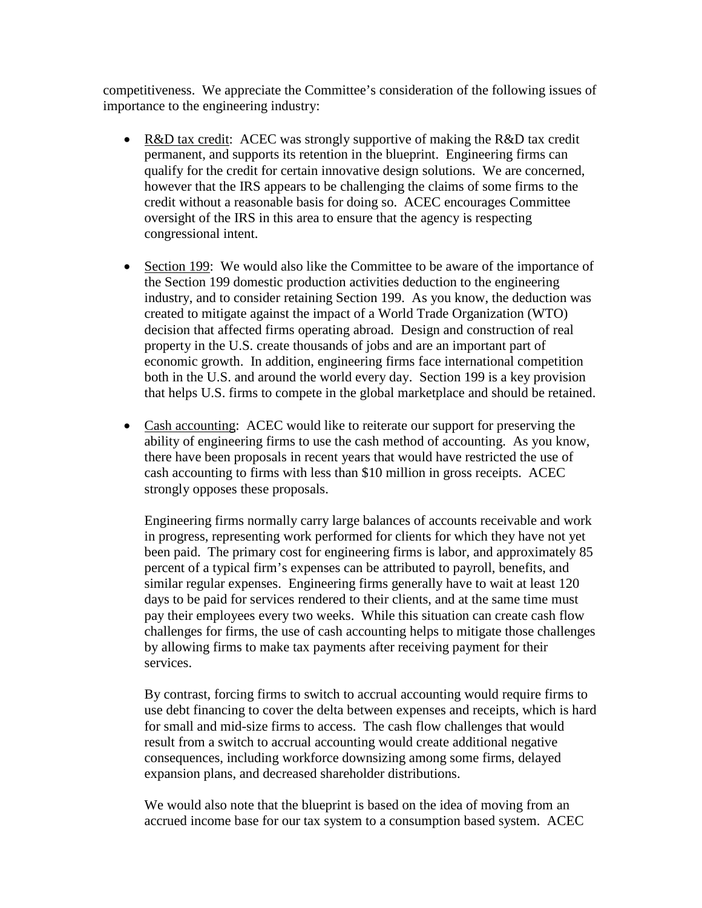competitiveness. We appreciate the Committee's consideration of the following issues of importance to the engineering industry:

- R&D tax credit: ACEC was strongly supportive of making the R&D tax credit permanent, and supports its retention in the blueprint. Engineering firms can qualify for the credit for certain innovative design solutions. We are concerned, however that the IRS appears to be challenging the claims of some firms to the credit without a reasonable basis for doing so. ACEC encourages Committee oversight of the IRS in this area to ensure that the agency is respecting congressional intent.
- Section 199: We would also like the Committee to be aware of the importance of the Section 199 domestic production activities deduction to the engineering industry, and to consider retaining Section 199. As you know, the deduction was created to mitigate against the impact of a World Trade Organization (WTO) decision that affected firms operating abroad. Design and construction of real property in the U.S. create thousands of jobs and are an important part of economic growth. In addition, engineering firms face international competition both in the U.S. and around the world every day. Section 199 is a key provision that helps U.S. firms to compete in the global marketplace and should be retained.
- Cash accounting: ACEC would like to reiterate our support for preserving the ability of engineering firms to use the cash method of accounting. As you know, there have been proposals in recent years that would have restricted the use of cash accounting to firms with less than \$10 million in gross receipts. ACEC strongly opposes these proposals.

Engineering firms normally carry large balances of accounts receivable and work in progress, representing work performed for clients for which they have not yet been paid. The primary cost for engineering firms is labor, and approximately 85 percent of a typical firm's expenses can be attributed to payroll, benefits, and similar regular expenses. Engineering firms generally have to wait at least 120 days to be paid for services rendered to their clients, and at the same time must pay their employees every two weeks. While this situation can create cash flow challenges for firms, the use of cash accounting helps to mitigate those challenges by allowing firms to make tax payments after receiving payment for their services.

By contrast, forcing firms to switch to accrual accounting would require firms to use debt financing to cover the delta between expenses and receipts, which is hard for small and mid-size firms to access. The cash flow challenges that would result from a switch to accrual accounting would create additional negative consequences, including workforce downsizing among some firms, delayed expansion plans, and decreased shareholder distributions.

We would also note that the blueprint is based on the idea of moving from an accrued income base for our tax system to a consumption based system. ACEC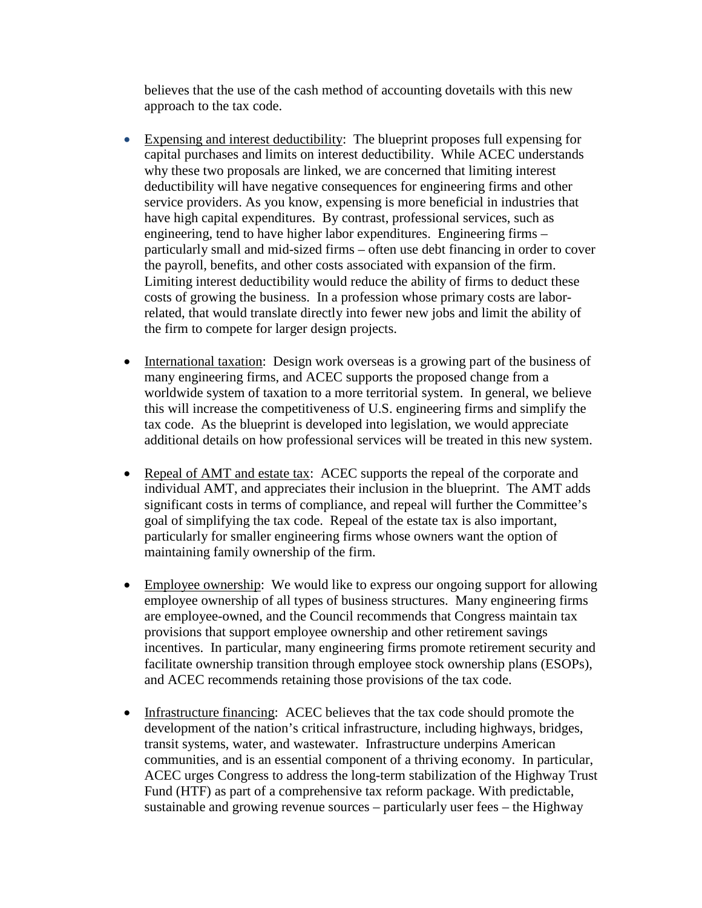believes that the use of the cash method of accounting dovetails with this new approach to the tax code.

- Expensing and interest deductibility: The blueprint proposes full expensing for capital purchases and limits on interest deductibility. While ACEC understands why these two proposals are linked, we are concerned that limiting interest deductibility will have negative consequences for engineering firms and other service providers. As you know, expensing is more beneficial in industries that have high capital expenditures. By contrast, professional services, such as engineering, tend to have higher labor expenditures. Engineering firms – particularly small and mid-sized firms – often use debt financing in order to cover the payroll, benefits, and other costs associated with expansion of the firm. Limiting interest deductibility would reduce the ability of firms to deduct these costs of growing the business. In a profession whose primary costs are laborrelated, that would translate directly into fewer new jobs and limit the ability of the firm to compete for larger design projects.
- International taxation: Design work overseas is a growing part of the business of many engineering firms, and ACEC supports the proposed change from a worldwide system of taxation to a more territorial system. In general, we believe this will increase the competitiveness of U.S. engineering firms and simplify the tax code. As the blueprint is developed into legislation, we would appreciate additional details on how professional services will be treated in this new system.
- Repeal of AMT and estate tax: ACEC supports the repeal of the corporate and individual AMT, and appreciates their inclusion in the blueprint. The AMT adds significant costs in terms of compliance, and repeal will further the Committee's goal of simplifying the tax code. Repeal of the estate tax is also important, particularly for smaller engineering firms whose owners want the option of maintaining family ownership of the firm.
- Employee ownership: We would like to express our ongoing support for allowing employee ownership of all types of business structures. Many engineering firms are employee-owned, and the Council recommends that Congress maintain tax provisions that support employee ownership and other retirement savings incentives. In particular, many engineering firms promote retirement security and facilitate ownership transition through employee stock ownership plans (ESOPs), and ACEC recommends retaining those provisions of the tax code.
- Infrastructure financing: ACEC believes that the tax code should promote the development of the nation's critical infrastructure, including highways, bridges, transit systems, water, and wastewater. Infrastructure underpins American communities, and is an essential component of a thriving economy. In particular, ACEC urges Congress to address the long-term stabilization of the Highway Trust Fund (HTF) as part of a comprehensive tax reform package. With predictable, sustainable and growing revenue sources – particularly user fees – the Highway